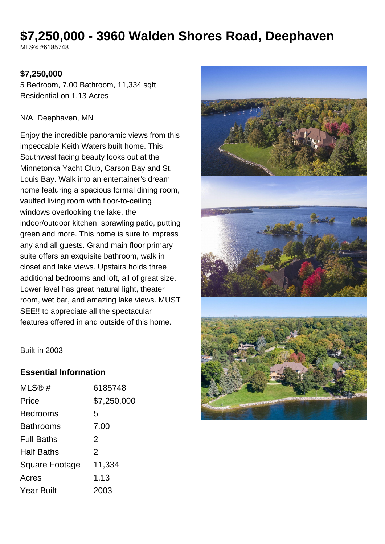# **\$7,250,000 - 3960 Walden Shores Road, Deephaven**

MLS® #6185748

### **\$7,250,000**

5 Bedroom, 7.00 Bathroom, 11,334 sqft Residential on 1.13 Acres

### N/A, Deephaven, MN

Enjoy the incredible panoramic views from this impeccable Keith Waters built home. This Southwest facing beauty looks out at the Minnetonka Yacht Club, Carson Bay and St. Louis Bay. Walk into an entertainer's dream home featuring a spacious formal dining room, vaulted living room with floor-to-ceiling windows overlooking the lake, the indoor/outdoor kitchen, sprawling patio, putting green and more. This home is sure to impress any and all guests. Grand main floor primary suite offers an exquisite bathroom, walk in closet and lake views. Upstairs holds three additional bedrooms and loft, all of great size. Lower level has great natural light, theater room, wet bar, and amazing lake views. MUST SEE!! to appreciate all the spectacular features offered in and outside of this home.



Built in 2003

### **Essential Information**

| MLS®#                 | 6185748       |
|-----------------------|---------------|
| Price                 | \$7,250,000   |
| <b>Bedrooms</b>       | 5             |
| <b>Bathrooms</b>      | 7.00          |
| <b>Full Baths</b>     | $\mathcal{P}$ |
| <b>Half Baths</b>     | $\mathcal{P}$ |
| <b>Square Footage</b> | 11,334        |
| Acres                 | 1.13          |
| <b>Year Built</b>     | 2003          |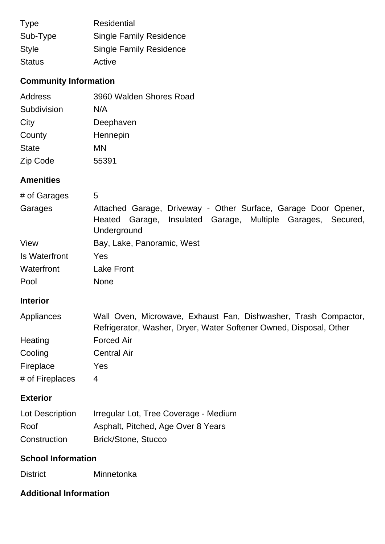| <b>Type</b>   | <b>Residential</b>             |
|---------------|--------------------------------|
| Sub-Type      | <b>Single Family Residence</b> |
| <b>Style</b>  | <b>Single Family Residence</b> |
| <b>Status</b> | Active                         |

# **Community Information**

| Address      |
|--------------|
| Subdivision  |
| City         |
| County       |
| <b>State</b> |
| Zip Code     |
|              |

## **Amenities**

| # of Garages              | 5                                                                                                                                                     |
|---------------------------|-------------------------------------------------------------------------------------------------------------------------------------------------------|
| Garages                   | Attached Garage, Driveway - Other Surface, Garage Door Opener,<br>Insulated Garage,<br>Multiple Garages,<br>Heated Garage,<br>Secured,<br>Underground |
| View                      | Bay, Lake, Panoramic, West                                                                                                                            |
| <b>Is Waterfront</b>      | Yes                                                                                                                                                   |
| Waterfront                | <b>Lake Front</b>                                                                                                                                     |
| Pool                      | <b>None</b>                                                                                                                                           |
| <b>Interior</b>           |                                                                                                                                                       |
| Appliances                | Wall Oven, Microwave, Exhaust Fan, Dishwasher, Trash Compactor,<br>Refrigerator, Washer, Dryer, Water Softener Owned, Disposal, Other                 |
| Heating                   | <b>Forced Air</b>                                                                                                                                     |
| Cooling                   | <b>Central Air</b>                                                                                                                                    |
| Fireplace                 | Yes                                                                                                                                                   |
| # of Fireplaces           | $\overline{4}$                                                                                                                                        |
| <b>Exterior</b>           |                                                                                                                                                       |
| Lot Description           | Irregular Lot, Tree Coverage - Medium                                                                                                                 |
| Roof                      | Asphalt, Pitched, Age Over 8 Years                                                                                                                    |
| Construction              | <b>Brick/Stone, Stucco</b>                                                                                                                            |
| <b>School Information</b> |                                                                                                                                                       |
| <b>District</b>           | Minnetonka                                                                                                                                            |

## **Additional Information**